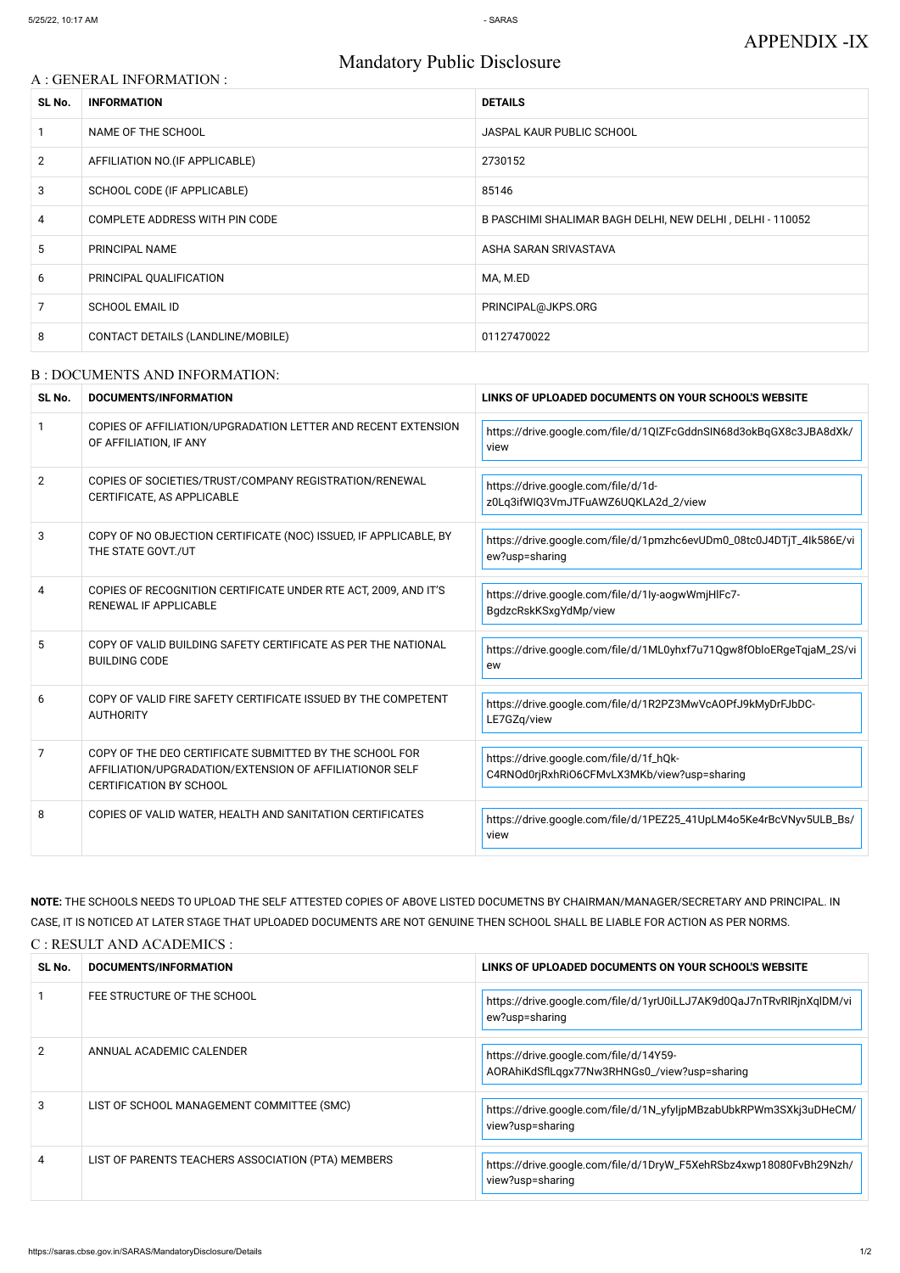# Mandatory Public Disclosure

### A : GENERAL INFORMATION :

| SL No.         | <b>INFORMATION</b>                | <b>DETAILS</b>                                            |
|----------------|-----------------------------------|-----------------------------------------------------------|
|                | NAME OF THE SCHOOL                | <b>JASPAL KAUR PUBLIC SCHOOL</b>                          |
| $\overline{2}$ | AFFILIATION NO. (IF APPLICABLE)   | 2730152                                                   |
| 3              | SCHOOL CODE (IF APPLICABLE)       | 85146                                                     |
| $\overline{4}$ | COMPLETE ADDRESS WITH PIN CODE    | B PASCHIMI SHALIMAR BAGH DELHI, NEW DELHI, DELHI - 110052 |
| 5              | PRINCIPAL NAME                    | ASHA SARAN SRIVASTAVA                                     |
| 6              | PRINCIPAL QUALIFICATION           | MA, M.ED                                                  |
|                | <b>SCHOOL EMAIL ID</b>            | PRINCIPAL@JKPS.ORG                                        |
| 8              | CONTACT DETAILS (LANDLINE/MOBILE) | 01127470022                                               |

### B : DOCUMENTS AND INFORMATION:

| SL No.         | <b>DOCUMENTS/INFORMATION</b>                                                                                                                         | LINKS OF UPLOADED DOCUMENTS ON YOUR SCHOOL'S WEBSITE                                   |  |
|----------------|------------------------------------------------------------------------------------------------------------------------------------------------------|----------------------------------------------------------------------------------------|--|
|                | COPIES OF AFFILIATION/UPGRADATION LETTER AND RECENT EXTENSION<br>OF AFFILIATION, IF ANY                                                              | https://drive.google.com/file/d/1QIZFcGddnSIN68d3okBqGX8c3JBA8dXk/<br>view             |  |
| $\overline{2}$ | COPIES OF SOCIETIES/TRUST/COMPANY REGISTRATION/RENEWAL<br>CERTIFICATE, AS APPLICABLE                                                                 | https://drive.google.com/file/d/1d-<br>z0Lq3ifWIQ3VmJTFuAWZ6UQKLA2d_2/view             |  |
| 3              | COPY OF NO OBJECTION CERTIFICATE (NOC) ISSUED, IF APPLICABLE, BY<br>THE STATE GOVT./UT                                                               | https://drive.google.com/file/d/1pmzhc6evUDm0_08tc0J4DTjT_4lk586E/vi<br>ew?usp=sharing |  |
| 4              | COPIES OF RECOGNITION CERTIFICATE UNDER RTE ACT, 2009, AND IT'S<br>RENEWAL IF APPLICABLE                                                             | https://drive.google.com/file/d/1ly-aogwWmjHlFc7-<br>BgdzcRskKSxgYdMp/view             |  |
| 5              | COPY OF VALID BUILDING SAFETY CERTIFICATE AS PER THE NATIONAL<br><b>BUILDING CODE</b>                                                                | https://drive.google.com/file/d/1ML0yhxf7u71Qgw8fObloERgeTqjaM_2S/vi<br>ew             |  |
| 6              | COPY OF VALID FIRE SAFETY CERTIFICATE ISSUED BY THE COMPETENT<br><b>AUTHORITY</b>                                                                    | https://drive.google.com/file/d/1R2PZ3MwVcAOPfJ9kMyDrFJbDC-<br>LE7GZq/view             |  |
| 7              | COPY OF THE DEO CERTIFICATE SUBMITTED BY THE SCHOOL FOR<br>AFFILIATION/UPGRADATION/EXTENSION OF AFFILIATIONOR SELF<br><b>CERTIFICATION BY SCHOOL</b> | https://drive.google.com/file/d/1f_hQk-<br>C4RNOd0rjRxhRiO6CFMvLX3MKb/view?usp=sharing |  |
| 8              | COPIES OF VALID WATER, HEALTH AND SANITATION CERTIFICATES                                                                                            | https://drive.google.com/file/d/1PEZ25_41UpLM4o5Ke4rBcVNyv5ULB_Bs/<br>view             |  |

**NOTE:** THE SCHOOLS NEEDS TO UPLOAD THE SELF ATTESTED COPIES OF ABOVE LISTED DOCUMETNS BY CHAIRMAN/MANAGER/SECRETARY AND PRINCIPAL. IN CASE, IT IS NOTICED AT LATER STAGE THAT UPLOADED DOCUMENTS ARE NOT GENUINE THEN SCHOOL SHALL BE LIABLE FOR ACTION AS PER NORMS. C : RESULT AND ACADEMICS :

| SL No.        | <b>DOCUMENTS/INFORMATION</b>                       | LINKS OF UPLOADED DOCUMENTS ON YOUR SCHOOL'S WEBSITE                                   |
|---------------|----------------------------------------------------|----------------------------------------------------------------------------------------|
|               | FEE STRUCTURE OF THE SCHOOL                        | https://drive.google.com/file/d/1yrU0iLLJ7AK9d0QaJ7nTRvRlRjnXqlDM/vi<br>ew?usp=sharing |
| $\mathcal{P}$ | ANNUAL ACADEMIC CALENDER                           | https://drive.google.com/file/d/14Y59-<br>AORAhiKdSflLqgx77Nw3RHNGs0_/view?usp=sharing |
| 3             | LIST OF SCHOOL MANAGEMENT COMMITTEE (SMC)          | https://drive.google.com/file/d/1N_yfyljpMBzabUbkRPWm3SXkj3uDHeCM/<br>view?usp=sharing |
| 4             | LIST OF PARENTS TEACHERS ASSOCIATION (PTA) MEMBERS | https://drive.google.com/file/d/1DryW_F5XehRSbz4xwp18080FvBh29Nzh/<br>view?usp=sharing |